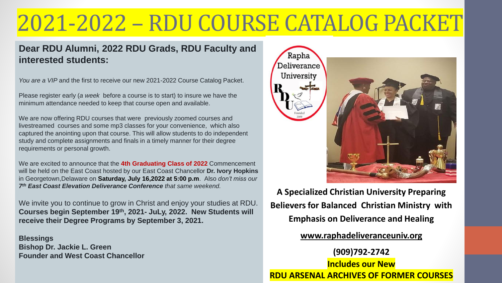# 2021-2022 – RDU COURSE CATALOG PACKET

### **Dear RDU Alumni, 2022 RDU Grads, RDU Faculty and interested students:**

*You are a VIP* and the first to receive our new 2021-2022 Course Catalog Packet.

Please register early (*a week* before a course is to start) to insure we have the minimum attendance needed to keep that course open and available.

We are now offering RDU courses that were previously zoomed courses and livestreamed courses and some mp3 classes for your convenience, which also captured the anointing upon that course. This will allow students to do independent study and complete assignments and finals in a timely manner for their degree requirements or personal growth.

We are excited to announce that the **4th Graduating Class of 2022** Commencement will be held on the East Coast hosted by our East Coast Chancellor **Dr. Ivory Hopkins**  in Georgetown,Delaware on **Saturday, July 16,2022 at 5:00 p.m**. Also *don't miss our 7 th East Coast Elevation Deliverance Conference that same weekend.*

We invite you to continue to grow in Christ and enjoy your studies at RDU. **Courses begin September 19th, 2021- JuLy, 2022. New Students will receive their Degree Programs by September 3, 2021.**

**Blessings Bishop Dr. Jackie L. Green Founder and West Coast Chancellor**



**A Specialized Christian University Preparing Believers for Balanced Christian Ministry with Emphasis on Deliverance and Healing** 

**[www.raphadeliveranceuniv.org](http://www.raphadeliveranceuniv.org/)**

**(909)792-2742 Includes our New RDU ARSENAL ARCHIVES OF FORMER COURSES**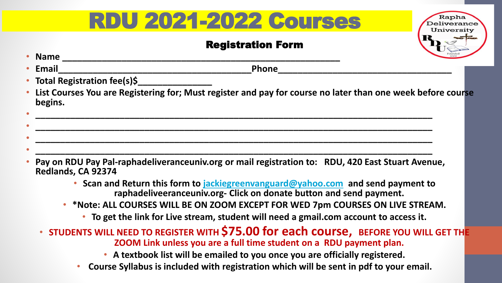## RDU 2021-2022 Courses

### Registration Form

Universitv



- **Pay on RDU Pay Pal-raphadeliveranceuniv.org or mail registration to: RDU, 420 East Stuart Avenue, Redlands, CA 92374**
	- **Scan and Return this form to [jackiegreenvanguard@yahoo.com](mailto:jackiegreenvanguard@yahoo.com) and send payment to raphadeliveeranceuniv.org- Click on donate button and send payment.**
	- **\*Note: ALL COURSES WILL BE ON ZOOM EXCEPT FOR WED 7pm COURSES ON LIVE STREAM.**
		- **To get the link for Live stream, student will need a gmail.com account to access it.**
	- **STUDENTS WILL NEED TO REGISTER WITH \$75.00 for each course, BEFORE YOU WILL GET THE ZOOM Link unless you are a full time student on a RDU payment plan.**
		- **A textbook list will be emailed to you once you are officially registered.**
		- **Course Syllabus is included with registration which will be sent in pdf to your email.**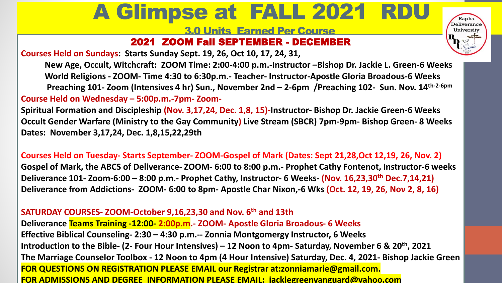## A Glimpse at FALL 2021 RDU

Rapha Deliverance University

3.0 Units Earned Per Course

### 2021 ZOOM Fall SEPTEMBER - DECEMBER

**Courses Held on Sundays: Starts Sunday Sept. 19, 26, Oct 10, 17, 24, 31,**

**New Age, Occult, Witchcraft: ZOOM Time: 2:00-4:00 p.m.-Instructor –Bishop Dr. Jackie L. Green-6 Weeks World Religions - ZOOM- Time 4:30 to 6:30p.m.- Teacher- Instructor-Apostle Gloria Broadous-6 Weeks Preaching 101- Zoom (Intensives 4 hr) Sun., November 2nd – 2-6pm /Preaching 102- Sun. Nov. 14th-2-6pm Course Held on Wednesday – 5:00p.m.-7pm- Zoom-**

**Spiritual Formation and Discipleship (Nov. 3,17,24, Dec. 1,8, 15)-Instructor- Bishop Dr. Jackie Green-6 Weeks Occult Gender Warfare (Ministry to the Gay Community) Live Stream (SBCR) 7pm-9pm- Bishop Green- 8 Weeks Dates: November 3,17,24, Dec. 1,8,15,22,29th**

Deliverance from Addictions- ZOOM- 6:00 to 8pm- Apostle Char Nixon,-6 Wks (Oct. 12, 19, 26, Nov 2, 8, 16) **Courses Held on Tuesday- Starts September- ZOOM-Gospel of Mark (Dates: Sept 21,28,Oct 12,19, 26, Nov. 2) Gospel of Mark, the ABCS of Deliverance- ZOOM- 6:00 to 8:00 p.m.- Prophet Cathy Fontenot, Instructor-6 weeks Deliverance 101- Zoom-6:00 – 8:00 p.m.- Prophet Cathy, Instructor- 6 Weeks- (Nov. 16,23,30th Dec.7,14,21)**

#### **SATURDAY COURSES- ZOOM-October 9,16,23,30 and Nov. 6th and 13th**

 $\frac{1}{\sqrt{2}}$  and  $\frac{1}{\sqrt{2}}$  and  $\frac{1}{\sqrt{2}}$  and  $\frac{1}{\sqrt{2}}$  and  $\frac{1}{\sqrt{2}}$  and  $\frac{1}{\sqrt{2}}$  and  $\frac{1}{\sqrt{2}}$  and  $\frac{1}{\sqrt{2}}$  and  $\frac{1}{\sqrt{2}}$  and  $\frac{1}{\sqrt{2}}$  and  $\frac{1}{\sqrt{2}}$  and  $\frac{1}{\sqrt{2}}$  and  $\frac{1}{\sqrt{2}}$  and **Deliverance Teams Training -12:00- 2:00p.m.- ZOOM- Apostle Gloria Broadous- 6 Weeks Effective Biblical Counseling- 2:30 – 4:30 p.m.-- Zonnia Montgomergy Instructor, 6 Weeks Introduction to the Bible- (2- Four Hour Intensives) – 12 Noon to 4pm- Saturday, November 6 & 20th, 2021 The Marriage Counselor Toolbox - 12 Noon to 4pm (4 Hour Intensive) Saturday, Dec. 4, 2021- Bishop Jackie Green FOR QUESTIONS ON REGISTRATION PLEASE EMAIL our Registrar at:zonniamarie@gmail.com. FOR ADMISSIONS AND DEGREE INFORMATION PLEASE EMAIL: jackiegreenvanguard@yahoo.com**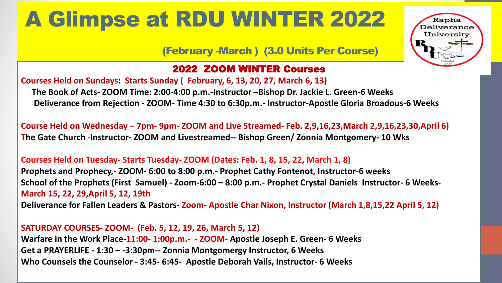## A Glimpse at RDU WINTER 2022

### (February -March ) (3.0 Units Per Course)

Kapha

University

### 2022 ZOOM WINTER Courses

**Courses Held on Sundays: Starts Sunday ( February, 6, 13, 20, 27, March 6, 13) The Book of Acts- ZOOM Time: 2:00-4:00 p.m.-Instructor –Bishop Dr. Jackie L. Green-6 Weeks Deliverance from Rejection - ZOOM- Time 4:30 to 6:30p.m.- Instructor-Apostle Gloria Broadous-6 Weeks** 

**Course Held on Wednesday – 7pm- 9pm- ZOOM and Live Streamed- Feb. 2,9,16,23,March 2,9,16,23,30,April 6) The Gate Church -Instructor- ZOOM and Livestreamed-- Bishop Green/ Zonnia Montgomery- 10 Wks**

**Courses Held on Tuesday- Starts Tuesday- ZOOM (Dates: Feb. 1, 8, 15, 22, March 1, 8)**

Spring Courses – Sundays: April 25, May 2nd, 16, 23, 30, June 6th- 6 Weeks **March 15, 22, 29,April 5, 12, 19th Prophets and Prophecy,- ZOOM- 6:00 to 8:00 p.m.- Prophet Cathy Fontenot, Instructor-6 weeks School of the Prophets (First Samuel) - Zoom-6:00 – 8:00 p.m.- Prophet Crystal Daniels Instructor- 6 Weeks-**

Deliverance for Fallen Leaders & Pastors-Zoom-Apostle Char Nixon, Instructor (March 1,8,15,22 April 5, 12)

**SATURDAY COURSES- ZOOM- (Feb. 5, 12, 19, 26, March 5, 12) Warfare in the Work Place-11:00- 1:00p.m.- - ZOOM- Apostle Joseph E. Green- 6 Weeks Get a PRAYERLIFE - 1:30 – -3:30pm-- Zonnia Montgomergy Instructor, 6 Weeks Who Counsels the Counselor - 3:45- 6:45- Apostle Deborah Vails, Instructor- 6 Weeks**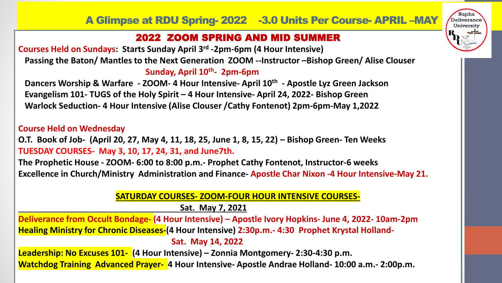Deliverance University

### 2022 ZOOM SPRING AND MID SUMMER

**Courses Held on Sundays: Starts Sunday April 3rd -2pm-6pm (4 Hour Intensive) Passing the Baton/ Mantles to the Next Generation ZOOM --Instructor –Bishop Green/ Alise Clouser Sunday, April 10th - 2pm-6pm**

**Dancers Worship & Warfare - ZOOM- 4 Hour Intensive- April 10th - Apostle Lyz Green Jackson Evangelism 101- TUGS of the Holy Spirit – 4 Hour Intensive- April 24, 2022- Bishop Green Warlock Seduction- 4 Hour Intensive (Alise Clouser /Cathy Fontenot) 2pm-6pm-May 1,2022**

#### **Course Held on Wednesday**

**O.T. Book of Job- (April 20, 27, May 4, 11, 18, 25, June 1, 8, 15, 22) – Bishop Green- Ten Weeks TUESDAY COURSES- May 3, 10, 17, 24, 31, and June7th.**

**The Prophetic House - ZOOM- 6:00 to 8:00 p.m.- Prophet Cathy Fontenot, Instructor-6 weeks Excellence in Church/Ministry Administration and Finance- Apostle Char Nixon -4 Hour Intensive-May 21.**

**SATURDAY COURSES- ZOOM-FOUR HOUR INTENSIVE COURSES**deliverance for the Handicapped Prophet-12:00- 2:00- 2:00- 2:00- 2:00- 2:00- 2:00- 2:00- 2:00- 2:00- 2:00- 2:00- 2:00- 2:00- 2:00- 2:00- 2:00- 2:00- 2:00- 2:00- 2:00- 2:00- 2:00- 2:00- 2:00- 2:00- 2:00- 2:00- 2:00- 2:00- 2

**Sat. May 7, 2021**

Deliverance from Occult Bondage- (4 Hour Intensive) – Apostle Ivory Hopkins- June 4, 2022- 10am-2pm **. Healing Ministry for Chronic Diseases-(4 Hour Intensive) 2:30p.m.- 4:30 Prophet Krystal Holland-Sat. May 14, 2022 Leadership: No Excuses 101- (4 Hour Intensive) – Zonnia Montgomery- 2:30-4:30 p.m.**

**Watchdog Training Advanced Prayer- 4 Hour Intensive- Apostle Andrae Holland- 10:00 a.m.- 2:00p.m.**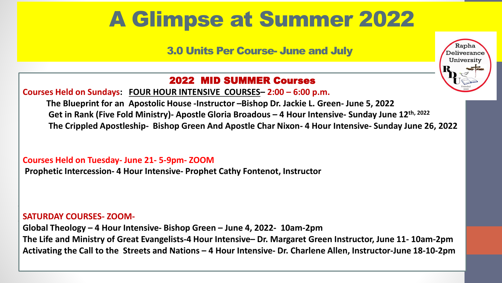## A Glimpse at Summer 2022

3.0 Units Per Course- June and July



### 2022 MID SUMMER Courses

**Courses Held on Sundays: FOUR HOUR INTENSIVE COURSES– 2:00 – 6:00 p.m.**

**The Blueprint for an Apostolic House -Instructor –Bishop Dr. Jackie L. Green- June 5, 2022 Get in Rank (Five Fold Ministry)- Apostle Gloria Broadous – 4 Hour Intensive- Sunday June 12th, 2022 The Crippled Apostleship- Bishop Green And Apostle Char Nixon- 4 Hour Intensive- Sunday June 26, 2022**

**Courses Held on Tuesday- June 21- 5-9pm- ZOOM**

**Prophetic Intercession- 4 Hour Intensive- Prophet Cathy Fontenot, Instructor**

#### $\blacksquare$  SATURDAY COURSES- <code>ZOOM-</code> Six  $\blacksquare$  SATURDAY COURSES-  $\blacksquare$

**.**

**Global Theology – 4 Hour Intensive- Bishop Green – June 4, 2022- 10am-2pm The Life and Ministry of Great Evangelists-4 Hour Intensive– Dr. Margaret Green Instructor, June 11- 10am-2pm Activating the Call to the Streets and Nations – 4 Hour Intensive- Dr. Charlene Allen, Instructor-June 18-10-2pm**

Deliverance for the Handicapped Prophet-12:00- 2:00 pm- Prophet Lyz Green Jackson/Prophet Crystal Daniels –insructors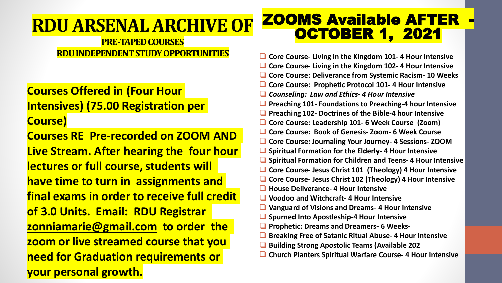### **RDU ARSENAL ARCHIVE OF**

### **PRE-TAPED COURSES RDU INDEPENDENT STUDY OPPORTUNITIES**

### **Courses Offered in (Four Hour Intensives) (75.00 Registration per Course)**

**Courses RE Pre-recorded on ZOOM AND Live Stream. After hearing the four hour lectures or full course, students will have time to turn in assignments and final exams in order to receive full credit of 3.0 Units. Email: RDU Registrar [zonniamarie@gmail.com](mailto:zonniamontgomery@gmail.com) to order the zoom or live streamed course that you need for Graduation requirements or your personal growth.**

### **ZOOMS Available AFTER** OCTOBER 1, 2021

- ❑ **Core Course- Living in the Kingdom 101- 4 Hour Intensive**
- ❑ **Core Course- Living in the Kingdom 102- 4 Hour Intensive**
- ❑ **Core Course: Deliverance from Systemic Racism- 10 Weeks**
- ❑ **Core Course: Prophetic Protocol 101- 4 Hour Intensive**
- ❑ *Counseling: Law and Ethics- 4 Hour Intensive*
- ❑ **Preaching 101- Foundations to Preaching-4 hour Intensive**
- ❑ **Preaching 102- Doctrines of the Bible-4 hour Intensive**
- ❑ **Core Course: Leadership 101- 6 Week Course (Zoom)**
- ❑ **Core Course: Book of Genesis- Zoom- 6 Week Course**
- ❑ **Core Course: Journaling Your Journey- 4 Sessions- ZOOM**
- ❑ **Spiritual Formation for the Elderly- 4 Hour Intensive**
- ❑ **Spiritual Formation for Children and Teens- 4 Hour Intensive**
- ❑ **Core Course- Jesus Christ 101 (Theology) 4 Hour Intensive**
- ❑ **Core Course- Jesus Christ 102 (Theology) 4 Hour Intensive**
- ❑ **House Deliverance- 4 Hour Intensive**
- ❑ **Voodoo and Witchcraft- 4 Hour Intensive**
- ❑ **Vanguard of Visions and Dreams- 4 Hour Intensive**
- ❑ **Spurned Into Apostleship-4 Hour Intensive**
- ❑ **Prophetic: Dreams and Dreamers- 6 Weeks-**
- ❑ **Breaking Free of Satanic Ritual Abuse- 4 Hour Intensive**
- ❑ **Building Strong Apostolic Teams (Available 202**
- ❑ **Church Planters Spiritual Warfare Course- 4 Hour Intensive**